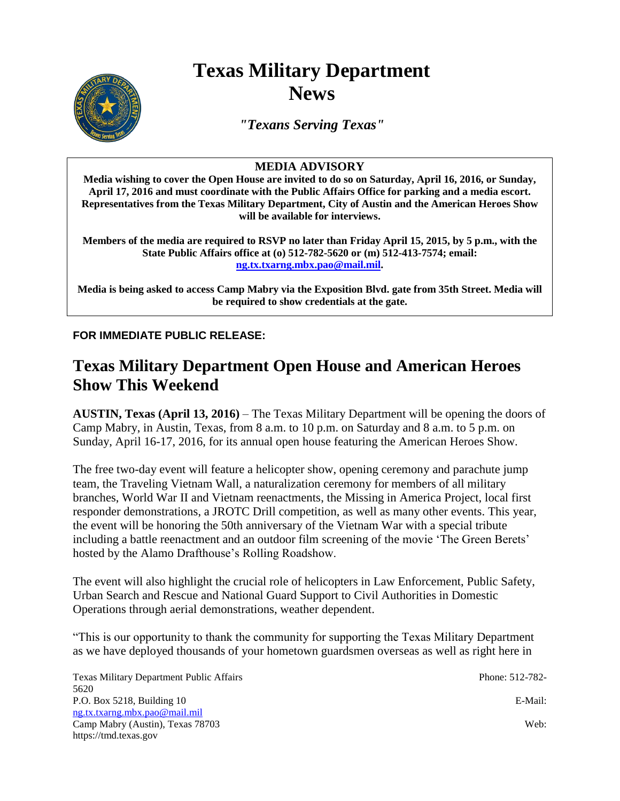# **Texas Military Department News**

*"Texans Serving Texas"*

### **MEDIA ADVISORY**

**Media wishing to cover the Open House are invited to do so on Saturday, April 16, 2016, or Sunday, April 17, 2016 and must coordinate with the Public Affairs Office for parking and a media escort. Representatives from the Texas Military Department, City of Austin and the American Heroes Show will be available for interviews.** 

**Members of the media are required to RSVP no later than Friday April 15, 2015, by 5 p.m., with the State Public Affairs office at (o) 512-782-5620 or (m) 512-413-7574; email: [ng.tx.txarng.mbx.pao@mail.mil.](mailto:ng.tx.txarng.mbx.pao@mail.mil)** 

**Media is being asked to access Camp Mabry via the Exposition Blvd. gate from 35th Street. Media will be required to show credentials at the gate.**

**FOR IMMEDIATE PUBLIC RELEASE:**

## **Texas Military Department Open House and American Heroes Show This Weekend**

**AUSTIN, Texas (April 13, 2016)** – The Texas Military Department will be opening the doors of Camp Mabry, in Austin, Texas, from 8 a.m. to 10 p.m. on Saturday and 8 a.m. to 5 p.m. on Sunday, April 16-17, 2016, for its annual open house featuring the American Heroes Show.

The free two-day event will feature a helicopter show, opening ceremony and parachute jump team, the Traveling Vietnam Wall, a naturalization ceremony for members of all military branches, World War II and Vietnam reenactments, the Missing in America Project, local first responder demonstrations, a JROTC Drill competition, as well as many other events. This year, the event will be honoring the 50th anniversary of the Vietnam War with a special tribute including a battle reenactment and an outdoor film screening of the movie 'The Green Berets' hosted by the Alamo Drafthouse's Rolling Roadshow.

The event will also highlight the crucial role of helicopters in Law Enforcement, Public Safety, Urban Search and Rescue and National Guard Support to Civil Authorities in Domestic Operations through aerial demonstrations, weather dependent.

"This is our opportunity to thank the community for supporting the Texas Military Department as we have deployed thousands of your hometown guardsmen overseas as well as right here in

Texas Military Department Public Affairs **Phone: 512-782-782-**5620 P.O. Box 5218, Building 10 E-Mail: [ng.tx.txarng.mbx.pao@mail.mil](mailto:ng.tx.txarng.mbx.pao@mail.mil) Camp Mabry (Austin), Texas 78703 Web: https://tmd.texas.gov